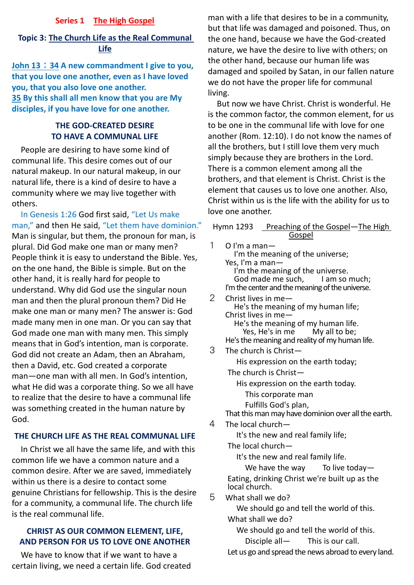### **Series 1 The High Gospel**

# **Topic 3: The Church Life as the Real Communal Life**

**John 13**:**34 A new commandment I give to you, that you love one another, even as I have loved you, that you also love one another. 35 By this shall all men know that you are My disciples, if you have love for one another.**

# **THE GOD-CREATED DESIRE TO HAVE A COMMUNAL LIFE**

People are desiring to have some kind of communal life. This desire comes out of our natural makeup. In our natural makeup, in our natural life, there is a kind of desire to have a community where we may live together with others.

In Genesis 1:26 God first said, "Let Us make man," and then He said, "Let them have dominion." Man is singular, but them, the pronoun for man, is plural. Did God make one man or many men? People think it is easy to understand the Bible. Yes, on the one hand, the Bible is simple. But on the other hand, it is really hard for people to understand. Why did God use the singular noun man and then the plural pronoun them? Did He make one man or many men? The answer is: God made many men in one man. Or you can say that God made one man with many men. This simply means that in God's intention, man is corporate. God did not create an Adam, then an Abraham, then a David, etc. God created a corporate man—one man with all men. In God's intention, what He did was a corporate thing. So we all have to realize that the desire to have a communal life was something created in the human nature by God.

# **THE CHURCH LIFE AS THE REAL COMMUNAL LIFE**

In Christ we all have the same life, and with this common life we have a common nature and a common desire. After we are saved, immediately within us there is a desire to contact some genuine Christians for fellowship. This is the desire for a community, a communal life. The church life is the real communal life.

# **CHRIST AS OUR COMMON ELEMENT, LIFE, AND PERSON FOR US TO LOVE ONE ANOTHER**

We have to know that if we want to have a certain living, we need a certain life. God created

man with a life that desires to be in a community, but that life was damaged and poisoned. Thus, on the one hand, because we have the God-created nature, we have the desire to live with others; on the other hand, because our human life was damaged and spoiled by Satan, in our fallen nature we do not have the proper life for communal living.

But now we have Christ. Christ is wonderful. He is the common factor, the common element, for us to be one in the communal life with love for one another (Rom. 12:10). I do not know the names of all the brothers, but I still love them very much simply because they are brothers in the Lord. There is a common element among all the brothers, and that element is Christ. Christ is the element that causes us to love one another. Also, Christ within us is the life with the ability for us to love one another.

| $\boldsymbol{\eta}$ |                | Hymn 1293 Preaching of the Gospel-The High                               |
|---------------------|----------------|--------------------------------------------------------------------------|
|                     | 1              | <u>Gospel</u><br>O I'm a man-                                            |
|                     |                | I'm the meaning of the universe;                                         |
|                     |                | Yes, I'm a man-                                                          |
|                     |                | I'm the meaning of the universe.<br>God made me such,<br>I am so much;   |
|                     |                | I'm the center and the meaning of the universe.                          |
|                     | $\overline{2}$ | Christ lives in me-                                                      |
|                     |                | He's the meaning of my human life;                                       |
|                     |                | Christ lives in me—<br>He's the meaning of my human life.                |
|                     |                | Yes, He's in me My all to be;                                            |
|                     |                | He's the meaning and reality of my human life.                           |
|                     | 3              | The church is Christ-                                                    |
|                     |                | His expression on the earth today;                                       |
|                     |                | The church is Christ-                                                    |
|                     |                | His expression on the earth today.                                       |
|                     |                | This corporate man                                                       |
|                     |                | Fulfills God's plan,                                                     |
|                     | 4              | That this man may have dominion over all the earth.<br>The local church- |
|                     |                |                                                                          |
|                     |                | It's the new and real family life;<br>The local church-                  |
|                     |                | It's the new and real family life.                                       |
|                     |                | To live today-<br>We have the way                                        |
|                     |                | Eating, drinking Christ we're built up as the                            |
|                     |                | local church.                                                            |
|                     | 5              | What shall we do?                                                        |
|                     |                | We should go and tell the world of this.                                 |
|                     |                | What shall we do?                                                        |
|                     |                | We should go and tell the world of this.                                 |
|                     |                | Disciple all-<br>This is our call.                                       |

Let us go and spread the news abroad to every land.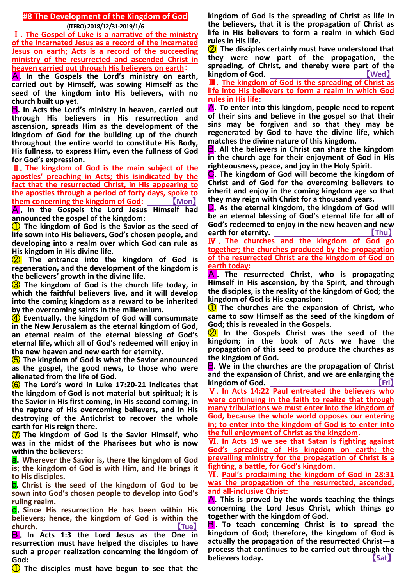## **#8 The Development of the Kingdom of God (ITERO) 2018/12/31-2019/1/6**

Ⅰ.**The Gospel of Luke is a narrative of the ministry of the incarnated Jesus as a record of the incarnated Jesus on earth; Acts is a record of the succeeding ministry of the resurrected and ascended Christ in heaven carried out through His believers on earth**:

A.**In the Gospels the Lord's ministry on earth, carried out by Himself, was sowing Himself as the seed of the kingdom into His believers, with no church built up yet.**

B.**In Acts the Lord's ministry in heaven, carried out through His believers in His resurrection and ascension, spreads Him as the development of the kingdom of God for the building up of the church throughout the entire world to constitute His Body, His fullness, to express Him, even the fullness of God for God's expression.**

Ⅱ.**The kingdom of God is the main subject of the apostles' preaching in Acts; this isindicated by the fact that the resurrected Christ, in His appearing to the apostles through a period of forty days, spoke to them** concerning the kingdom of God: \_

A . **In the Gospels the Lord Jesus Himself had announced the gospel of the kingdom:**

① **The kingdom of God is the Savior as the seed of life sown into His believers, God's chosen people, and developing into a realm over which God can rule as His kingdom in His divine life.**

② **The entrance into the kingdom of God is regeneration, and the development of the kingdom is the believers' growth in the divine life.**

③ **The kingdom of God is the church life today, in which the faithful believers live, and it will develop into the coming kingdom as a reward to be inherited by the overcoming saints in the millennium.**

④ **Eventually, the kingdom of God will consummate in the New Jerusalem as the eternal kingdom of God, an eternal realm of the eternal blessing of God's eternal life, which all of God's redeemed will enjoy in the new heaven and new earth for eternity.**

⑤ **The kingdom of God is what the Savior announced as the gospel, the good news, to those who were alienated from the life of God.**

⑥ **The Lord's word in Luke 17:20-21 indicates that the kingdom of God is not material but spiritual; it is the Savior in His first coming, in His second coming, in the rapture of His overcoming believers, and in His destroying of the Antichrist to recover the whole earth for His reign there.**

⑦ **The kingdom of God is the Savior Himself, who was in the midst of the Pharisees but who is now within the believers:**

a.**Wherever the Savior is, there the kingdom of God is; the kingdom of God is with Him, and He brings it to His disciples.**

b.**Christ is the seed of the kingdom of God to be sown into God's chosen people to develop into God's ruling realm.**

c.**Since His resurrection He has been within His believers; hence, the kingdom of God is within the church.** 【**Tue**】

**B**. In Acts 1:3 the Lord Jesus as the One in **resurrection must have helped the disciples to have such a proper realization concerning the kingdom of God:**

① **The disciples must have begun to see that the** 

**kingdom of God is the spreading of Christ as life in the believers, that it is the propagation of Christ as life in His believers to form a realm in which God rules in His life.**

② **The disciples certainly must have understood that they were now part of the propagation, the**  spreading, of Christ, and thereby were part of the **kingdom of God.** 【**Wed**】

Ⅲ.**The kingdom of God is the spreading of Christ as life into His believers to form a realm in which God rules in His life:**

A.**To enter into this kingdom, people need to repent of their sins and believe in the gospel so that their sins may be forgiven and so that they may be regenerated by God to have the divine life, which matches the divine nature of this kingdom.**

B.**All the believers in Christ can share the kingdom in the church age for their enjoyment of God in His righteousness, peace, and joy in the Holy Spirit.**

C.**The kingdom of God will become the kingdom of Christ and of God for the overcoming believers to inherit and enjoy in the coming kingdom age so that they may reign with Christ for a thousand years.**

D.**As the eternal kingdom, the kingdom of God will be an eternal blessing of God's eternal life for all of God's redeemed to enjoy in the new heaven and new earth for eternity.** 【**Thu**】

Ⅳ . **The churches and the kingdom of God go together; the churches produced by the propagation of the resurrected Christ are the kingdom of God on earth today:**

A . **The resurrected Christ, who is propagating Himself in His ascension, by the Spirit, and through the disciples, is the reality of the kingdom of God; the kingdom of God is His expansion:**

① **The churches are the expansion of Christ, who came to sow Himself as the seed of the kingdom of God; this is revealed in the Gospels.**

② **In the Gospels Christ was the seed of the kingdom; in the book of Acts we have the propagation of this seed to produce the churches as the kingdom of God.**

B.**We in the churches are the propagation of Christ and the expansion of Christ, and we are enlarging the kingdom of God. Comparison (Fri**)

Ⅴ.**In Acts 14:22 Paul entreated the believers who were continuing in the faith to realize that through many tribulations we must enter into the kingdom of God, because the whole world opposes our entering in; to enter into the kingdom of God is to enter into the full enjoyment of Christ as the kingdom.**

Ⅵ.**In Acts 19 we see that Satan is fighting against God's spreading of His kingdom on earth; the prevailing ministry for the propagation of Christ is a fighting, a battle, for God's kingdom.**

Ⅶ.**Paul's proclaiming the kingdom of God in 28:31 was the propagation of the resurrected, ascended, and all-inclusive Christ:**

A.**This is proved by the words teaching the things concerning the Lord Jesus Christ, which things go together with the kingdom of God.**

**B**. To teach concerning Christ is to spread the **kingdom of God; therefore, the kingdom of God is actually the propagation of the resurrected Christ—a process that continues to be carried out through the believers today.** (Sat)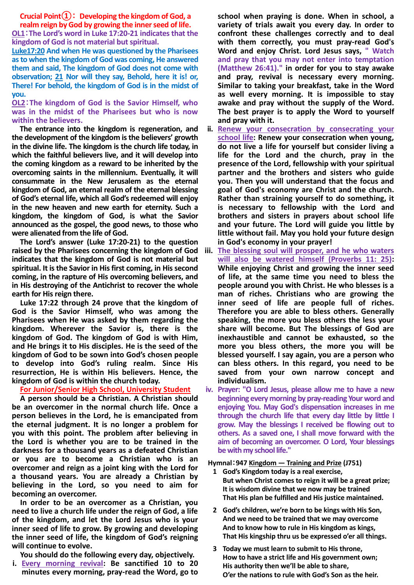#### **Crucial Point①**: **Developing the kingdom of God, a realm reign by God by growing the inner seed of life.**

**OL1**:**The Lord's word in Luke 17:20-21 indicates that the kingdom of God is not material but spiritual.**

**Luke17:20 And when He was questioned by the Pharisees as to when the kingdom of God was coming, He answered them and said, The kingdom of God does not come with observation; 21 Nor will they say, Behold, here it is! or, There! For behold, the kingdom of God is in the midst of you.**

#### **OL2**:**The kingdom of God is the Savior Himself, who was in the midst of the Pharisees but who is now within the believers.**

**The entrance into the kingdom is regeneration, and the development of the kingdom is the believers' growth in the divine life. The kingdom is the church life today, in which the faithful believers live, and it will develop into the coming kingdom as a reward to be inherited by the overcoming saints in the millennium. Eventually, it will consummate in the New Jerusalem as the eternal kingdom of God, an eternal realm of the eternal blessing of God's eternal life, which all God's redeemed will enjoy in the new heaven and new earth for eternity. Such a kingdom, the kingdom of God, is what the Savior announced as the gospel, the good news, to those who were alienated from the life of God.**

**The Lord's answer (Luke 17:20-21) to the question raised by the Pharisees concerning the kingdom of God indicates that the kingdom of God is not material but spiritual. It is the Savior in His first coming, in His second coming, in the rapture of His overcoming believers, and in His destroying of the Antichrist to recover the whole earth for His reign there.**

**Luke 17:22 through 24 prove that the kingdom of God is the Savior Himself, who was among the Pharisees when He was asked by them regarding the kingdom. Wherever the Savior is, there is the kingdom of God. The kingdom of God is with Him, and He brings it to His disciples. He is the seed of the kingdom of God to be sown into God's chosen people to develop into God's ruling realm. Since His resurrection, He is within His believers. Hence, the kingdom of God is within the church today.**

### **For Junior/Senior High School, University Student**

**A person should be a Christian. A Christian should be an overcomer in the normal church life. Once a person believes in the Lord, he is emancipated from the eternal judgment. It is no longer a problem for you with this point. The problem after believing in the Lord is whether you are to be trained in the darkness for a thousand years as a defeated Christian or you are to become a Christian who is an overcomer and reign as a joint king with the Lord for a thousand years. You are already a Christian by believing in the Lord, so you need to aim for becoming an overcomer.**

**In order to be an overcomer as a Christian, you need to live a church life under the reign of God, a life of the kingdom, and let the Lord Jesus who is your inner seed of life to grow. By growing and developing the inner seed of life, the kingdom of God's reigning will continue to evolve.**

**You should do the following every day, objectively.**

**i. Every morning revival: Be sanctified 10 to 20 minutes every morning, pray-read the Word, go to**  **school when praying is done. When in school, a variety of trials await you every day. In order to confront these challenges correctly and to deal with them correctly, you must pray-read God's Word and enjoy Christ. Lord Jesus says, " Watch and pray that you may not enter into temptation (Matthew 26:41)." in order for you to stay awake and pray, revival is necessary every morning. Similar to taking your breakfast, take in the Word as well every morning. It is impossible to stay awake and pray without the supply of the Word. The best prayer is to apply the Word to yourself and pray with it.**

- **ii. Renew your consecration by consecrating your school life: Renew your consecration when young, do not live a life for yourself but consider living a life for the Lord and the church, pray in the presence of the Lord, fellowship with your spiritual partner and the brothers and sisters who guide you. Then you will understand that the focus and goal of God's economy are Christ and the church. Rather than straining yourself to do something, it is necessary to fellowship with the Lord and brothers and sisters in prayers about school life and your future. The Lord will guide you little by little without fail. May you hold your future design in God's economy in your prayer!**
- **iii. The blessing soul will prosper, and he who waters will also be watered himself (Proverbs 11: 25): While enjoying Christ and growing the inner seed of life, at the same time you need to bless the people around you with Christ. He who blesses is a man of riches. Christians who are growing the inner seed of life are people full of riches. Therefore you are able to bless others. Generally speaking, the more you bless others the less your share will become. But The blessings of God are inexhaustible and cannot be exhausted, so the more you bless others, the more you will be blessed yourself. I say again, you are a person who can bless others. In this regard, you need to be saved from your own narrow concept and individualism.**
- **iv. Prayer: "O Lord Jesus, please allow me to have a new beginning every morning by pray-reading Your word and enjoying You. May God's dispensation increases in me through the church life that every day little by little I grow. May the blessings I received be flowing out to others. As a saved one, I shall move forward with the aim of becoming an overcomer. O Lord, Your blessings be with my school life."**

#### **Hymnal**:**947 Kingdom ― Training and Prize (J751)**

- **1 God's Kingdom today is a real exercise, But when Christ comes to reign it will be a great prize; It is wisdom divine that we now may be trained That His plan be fulfilled and His justice maintained.**
- **2 God's children, we're born to be kings with His Son, And we need to be trained that we may overcome And to know how to rule in His kingdom as kings, That His kingship thru us be expressed o'er all things.**
- **3 Today we must learn to submit to His throne, How to have a strict life and His government own; His authority then we'll be able to share, O'er the nations to rule with God's Son as the heir.**